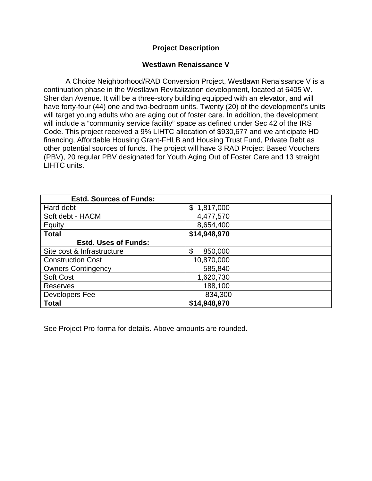## **Project Description**

## **Westlawn Renaissance V**

A Choice Neighborhood/RAD Conversion Project, Westlawn Renaissance V is a continuation phase in the Westlawn Revitalization development, located at 6405 W. Sheridan Avenue. It will be a three-story building equipped with an elevator, and will have forty-four (44) one and two-bedroom units. Twenty (20) of the development's units will target young adults who are aging out of foster care. In addition, the development will include a "community service facility" space as defined under Sec 42 of the IRS Code. This project received a 9% LIHTC allocation of \$930,677 and we anticipate HD financing, Affordable Housing Grant-FHLB and Housing Trust Fund, Private Debt as other potential sources of funds. The project will have 3 RAD Project Based Vouchers (PBV), 20 regular PBV designated for Youth Aging Out of Foster Care and 13 straight LIHTC units.

| <b>Estd. Sources of Funds:</b> |               |
|--------------------------------|---------------|
| Hard debt                      | \$1,817,000   |
| Soft debt - HACM               | 4,477,570     |
| Equity                         | 8,654,400     |
| <b>Total</b>                   | \$14,948,970  |
| <b>Estd. Uses of Funds:</b>    |               |
| Site cost & Infrastructure     | \$<br>850,000 |
| <b>Construction Cost</b>       | 10,870,000    |
| <b>Owners Contingency</b>      | 585,840       |
| <b>Soft Cost</b>               | 1,620,730     |
| <b>Reserves</b>                | 188,100       |
| Developers Fee                 | 834,300       |
| <b>Total</b>                   | \$14,948,970  |

See Project Pro-forma for details. Above amounts are rounded.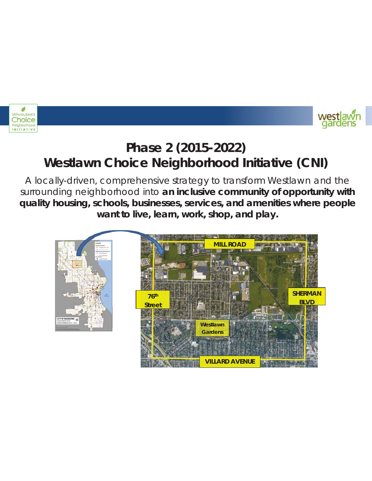



## **Phase 2 (2015-2022) Westlawn Choice Neighborhood Initiative (CNI)**

A locally-driven, comprehensive strategy to transform Westlawn and the surrounding neighborhood into **an inclusive community of opportunity with quality housing, schools, businesses, services, and amenities where people want to live, learn, work, shop, and play.**